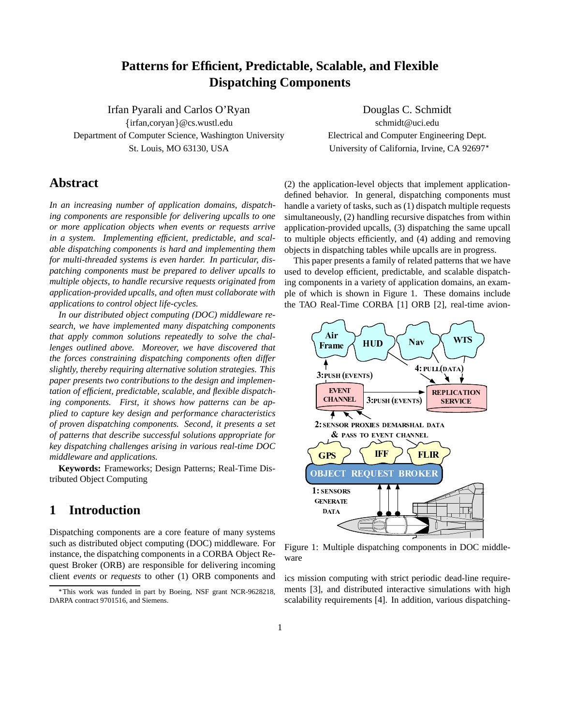## **Patterns for Efficient, Predictable, Scalable, and Flexible Dispatching Components**

Irfan Pyarali and Carlos O'Ryan Douglas C. Schmidt {irfan,coryan}@cs.wustl.edu schmidt@uci.edu Department of Computer Science, Washington University Electrical and Computer Engineering Dept. St. Louis, MO 63130, USA University of California, Irvine, CA 92697<sup>\*</sup>

# **Abstract**

*In an increasing number of application domains, dispatching components are responsible for delivering upcalls to one or more application objects when events or requests arrive in a system. Implementing efficient, predictable, and scalable dispatching components is hard and implementing them for multi-threaded systems is even harder. In particular, dispatching components must be prepared to deliver upcalls to multiple objects, to handle recursive requests originated from application-provided upcalls, and often must collaborate with applications to control object life-cycles.*

*In our distributed object computing (DOC) middleware research, we have implemented many dispatching components that apply common solutions repeatedly to solve the challenges outlined above. Moreover, we have discovered that the forces constraining dispatching components often differ slightly, thereby requiring alternative solution strategies. This paper presents two contributions to the design and implementation of efficient, predictable, scalable, and flexible dispatching components. First, it shows how patterns can be applied to capture key design and performance characteristics of proven dispatching components. Second, it presents a set of patterns that describe successful solutions appropriate for key dispatching challenges arising in various real-time DOC middleware and applications.*

**Keywords:** Frameworks; Design Patterns; Real-Time Distributed Object Computing

## **1 Introduction**

Dispatching components are a core feature of many systems such as distributed object computing (DOC) middleware. For instance, the dispatching components in a CORBA Object Request Broker (ORB) are responsible for delivering incoming client *events* or *requests* to other (1) ORB components and

(2) the application-level objects that implement applicationdefined behavior. In general, dispatching components must handle a variety of tasks, such as (1) dispatch multiple requests simultaneously, (2) handling recursive dispatches from within application-provided upcalls, (3) dispatching the same upcall to multiple objects efficiently, and (4) adding and removing objects in dispatching tables while upcalls are in progress.

This paper presents a family of related patterns that we have used to develop efficient, predictable, and scalable dispatching components in a variety of application domains, an example of which is shown in Figure 1. These domains include the TAO Real-Time CORBA [1] ORB [2], real-time avion-



Figure 1: Multiple dispatching components in DOC middleware

ics mission computing with strict periodic dead-line requirements [3], and distributed interactive simulations with high scalability requirements [4]. In addition, various dispatching-

This work was funded in part by Boeing, NSF grant NCR-9628218, DARPA contract 9701516, and Siemens.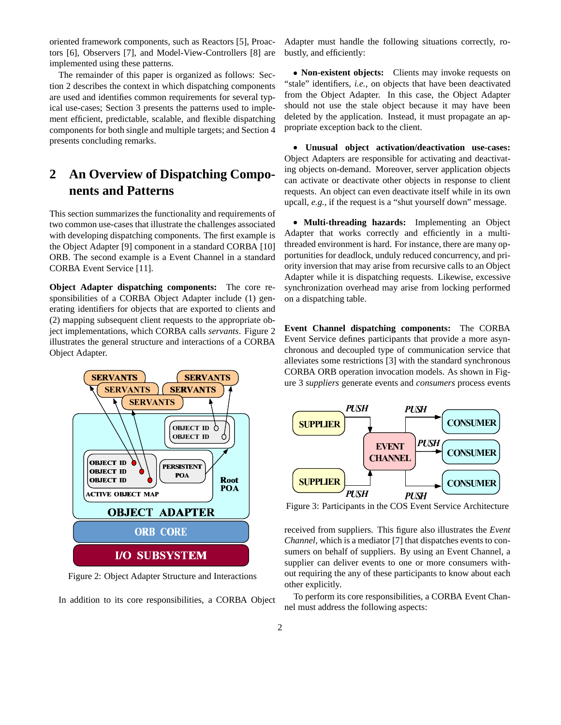oriented framework components, such as Reactors [5], Proactors [6], Observers [7], and Model-View-Controllers [8] are implemented using these patterns.

The remainder of this paper is organized as follows: Section 2 describes the context in which dispatching components are used and identifies common requirements for several typical use-cases; Section 3 presents the patterns used to implement efficient, predictable, scalable, and flexible dispatching components for both single and multiple targets; and Section 4 presents concluding remarks.

# **2 An Overview of Dispatching Components and Patterns**

This section summarizes the functionality and requirements of two common use-cases that illustrate the challenges associated with developing dispatching components. The first example is the Object Adapter [9] component in a standard CORBA [10] ORB. The second example is a Event Channel in a standard CORBA Event Service [11].

**Object Adapter dispatching components:** The core responsibilities of a CORBA Object Adapter include (1) generating identifiers for objects that are exported to clients and (2) mapping subsequent client requests to the appropriate object implementations, which CORBA calls *servants*. Figure 2 illustrates the general structure and interactions of a CORBA Object Adapter.



Figure 2: Object Adapter Structure and Interactions

In addition to its core responsibilities, a CORBA Object

Adapter must handle the following situations correctly, robustly, and efficiently:

e **Non-existent objects:** Clients may invoke requests on "stale" identifiers, *i.e.*, on objects that have been deactivated from the Object Adapter. In this case, the Object Adapter should not use the stale object because it may have been deleted by the application. Instead, it must propagate an appropriate exception back to the client.

e **Unusual object activation/deactivation use-cases:** Object Adapters are responsible for activating and deactivating objects on-demand. Moreover, server application objects can activate or deactivate other objects in response to client requests. An object can even deactivate itself while in its own upcall, *e.g.*, if the request is a "shut yourself down" message.

e **Multi-threading hazards:** Implementing an Object Adapter that works correctly and efficiently in a multithreaded environment is hard. For instance, there are many opportunities for deadlock, unduly reduced concurrency, and priority inversion that may arise from recursive calls to an Object Adapter while it is dispatching requests. Likewise, excessive synchronization overhead may arise from locking performed on a dispatching table.

**Event Channel dispatching components:** The CORBA Event Service defines participants that provide a more asynchronous and decoupled type of communication service that alleviates some restrictions [3] with the standard synchronous CORBA ORB operation invocation models. As shown in Figure 3 *suppliers* generate events and *consumers* process events



Figure 3: Participants in the COS Event Service Architecture

received from suppliers. This figure also illustrates the *Event Channel*, which is a mediator [7] that dispatches events to consumers on behalf of suppliers. By using an Event Channel, a supplier can deliver events to one or more consumers without requiring the any of these participants to know about each other explicitly.

To perform its core responsibilities, a CORBA Event Channel must address the following aspects: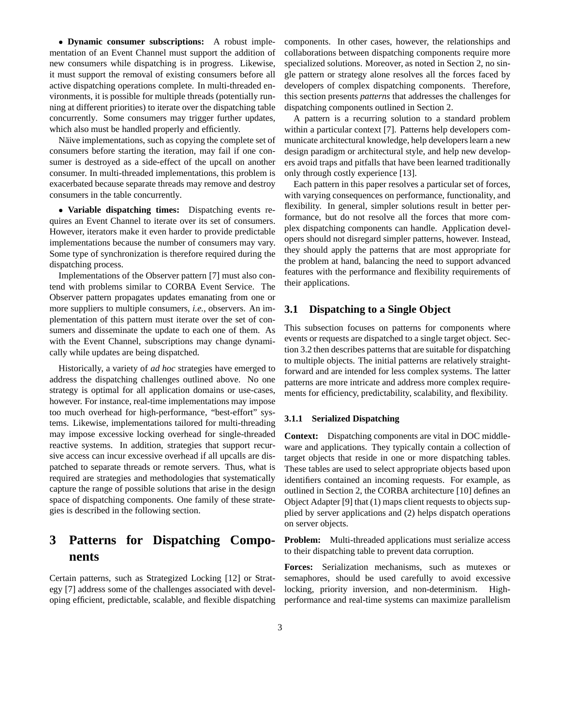e **Dynamic consumer subscriptions:** A robust implementation of an Event Channel must support the addition of new consumers while dispatching is in progress. Likewise, it must support the removal of existing consumers before all active dispatching operations complete. In multi-threaded environments, it is possible for multiple threads (potentially running at different priorities) to iterate over the dispatching table concurrently. Some consumers may trigger further updates, which also must be handled properly and efficiently.

Näive implementations, such as copying the complete set of consumers before starting the iteration, may fail if one consumer is destroyed as a side-effect of the upcall on another consumer. In multi-threaded implementations, this problem is exacerbated because separate threads may remove and destroy consumers in the table concurrently.

e **Variable dispatching times:** Dispatching events requires an Event Channel to iterate over its set of consumers. However, iterators make it even harder to provide predictable implementations because the number of consumers may vary. Some type of synchronization is therefore required during the dispatching process.

Implementations of the Observer pattern [7] must also contend with problems similar to CORBA Event Service. The Observer pattern propagates updates emanating from one or more suppliers to multiple consumers, *i.e.*, observers. An implementation of this pattern must iterate over the set of consumers and disseminate the update to each one of them. As with the Event Channel, subscriptions may change dynamically while updates are being dispatched.

Historically, a variety of *ad hoc* strategies have emerged to address the dispatching challenges outlined above. No one strategy is optimal for all application domains or use-cases, however. For instance, real-time implementations may impose too much overhead for high-performance, "best-effort" systems. Likewise, implementations tailored for multi-threading may impose excessive locking overhead for single-threaded reactive systems. In addition, strategies that support recursive access can incur excessive overhead if all upcalls are dispatched to separate threads or remote servers. Thus, what is required are strategies and methodologies that systematically capture the range of possible solutions that arise in the design space of dispatching components. One family of these strategies is described in the following section.

## **3 Patterns for Dispatching Components**

Certain patterns, such as Strategized Locking [12] or Strategy [7] address some of the challenges associated with developing efficient, predictable, scalable, and flexible dispatching components. In other cases, however, the relationships and collaborations between dispatching components require more specialized solutions. Moreover, as noted in Section 2, no single pattern or strategy alone resolves all the forces faced by developers of complex dispatching components. Therefore, this section presents *patterns* that addresses the challenges for dispatching components outlined in Section 2.

A pattern is a recurring solution to a standard problem within a particular context [7]. Patterns help developers communicate architectural knowledge, help developerslearn a new design paradigm or architectural style, and help new developers avoid traps and pitfalls that have been learned traditionally only through costly experience [13].

Each pattern in this paper resolves a particular set of forces, with varying consequences on performance, functionality, and flexibility. In general, simpler solutions result in better performance, but do not resolve all the forces that more complex dispatching components can handle. Application developers should not disregard simpler patterns, however. Instead, they should apply the patterns that are most appropriate for the problem at hand, balancing the need to support advanced features with the performance and flexibility requirements of their applications.

### **3.1 Dispatching to a Single Object**

This subsection focuses on patterns for components where events or requests are dispatched to a single target object. Section 3.2 then describes patterns that are suitable for dispatching to multiple objects. The initial patterns are relatively straightforward and are intended for less complex systems. The latter patterns are more intricate and address more complex requirements for efficiency, predictability, scalability, and flexibility.

### **3.1.1 Serialized Dispatching**

**Context:** Dispatching components are vital in DOC middleware and applications. They typically contain a collection of target objects that reside in one or more dispatching tables. These tables are used to select appropriate objects based upon identifiers contained an incoming requests. For example, as outlined in Section 2, the CORBA architecture [10] defines an Object Adapter [9] that (1) maps client requests to objects supplied by server applications and (2) helps dispatch operations on server objects.

**Problem:** Multi-threaded applications must serialize access to their dispatching table to prevent data corruption.

**Forces:** Serialization mechanisms, such as mutexes or semaphores, should be used carefully to avoid excessive locking, priority inversion, and non-determinism. Highperformance and real-time systems can maximize parallelism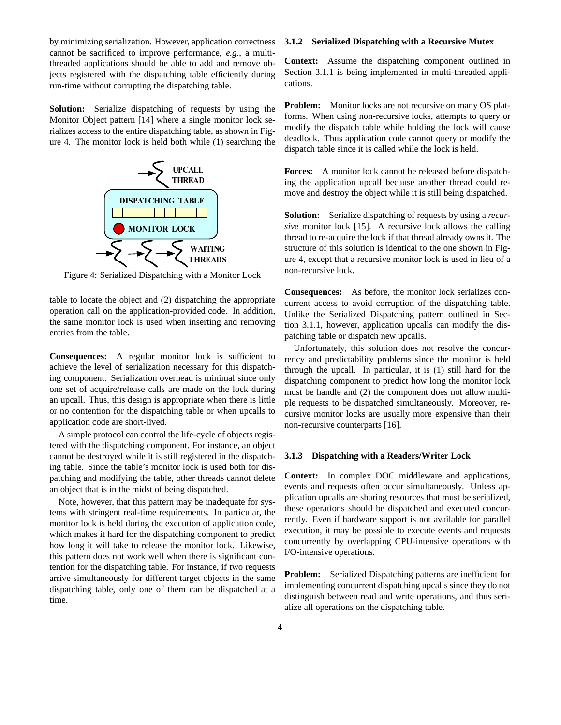by minimizing serialization. However, application correctness cannot be sacrificed to improve performance, *e.g.*, a multithreaded applications should be able to add and remove objects registered with the dispatching table efficiently during run-time without corrupting the dispatching table.

**Solution:** Serialize dispatching of requests by using the Monitor Object pattern [14] where a single monitor lock serializes access to the entire dispatching table, as shown in Figure 4. The monitor lock is held both while (1) searching the



Figure 4: Serialized Dispatching with a Monitor Lock

table to locate the object and (2) dispatching the appropriate operation call on the application-provided code. In addition, the same monitor lock is used when inserting and removing entries from the table.

**Consequences:** A regular monitor lock is sufficient to achieve the level of serialization necessary for this dispatching component. Serialization overhead is minimal since only one set of acquire/release calls are made on the lock during an upcall. Thus, this design is appropriate when there is little or no contention for the dispatching table or when upcalls to application code are short-lived.

A simple protocol can control the life-cycle of objects registered with the dispatching component. For instance, an object cannot be destroyed while it is still registered in the dispatching table. Since the table's monitor lock is used both for dispatching and modifying the table, other threads cannot delete an object that is in the midst of being dispatched.

Note, however, that this pattern may be inadequate for systems with stringent real-time requirements. In particular, the monitor lock is held during the execution of application code, which makes it hard for the dispatching component to predict how long it will take to release the monitor lock. Likewise, this pattern does not work well when there is significant contention for the dispatching table. For instance, if two requests arrive simultaneously for different target objects in the same dispatching table, only one of them can be dispatched at a time.

#### **3.1.2 Serialized Dispatching with a Recursive Mutex**

**Context:** Assume the dispatching component outlined in Section 3.1.1 is being implemented in multi-threaded applications.

**Problem:** Monitor locks are not recursive on many OS platforms. When using non-recursive locks, attempts to query or modify the dispatch table while holding the lock will cause deadlock. Thus application code cannot query or modify the dispatch table since it is called while the lock is held.

**Forces:** A monitor lock cannot be released before dispatching the application upcall because another thread could remove and destroy the object while it is still being dispatched.

**Solution:** Serialize dispatching of requests by using a *recursive* monitor lock [15]. A recursive lock allows the calling thread to re-acquire the lock if that thread already owns it. The structure of this solution is identical to the one shown in Figure 4, except that a recursive monitor lock is used in lieu of a non-recursive lock.

**Consequences:** As before, the monitor lock serializes concurrent access to avoid corruption of the dispatching table. Unlike the Serialized Dispatching pattern outlined in Section 3.1.1, however, application upcalls can modify the dispatching table or dispatch new upcalls.

Unfortunately, this solution does not resolve the concurrency and predictability problems since the monitor is held through the upcall. In particular, it is (1) still hard for the dispatching component to predict how long the monitor lock must be handle and (2) the component does not allow multiple requests to be dispatched simultaneously. Moreover, recursive monitor locks are usually more expensive than their non-recursive counterparts [16].

#### **3.1.3 Dispatching with a Readers/Writer Lock**

**Context:** In complex DOC middleware and applications, events and requests often occur simultaneously. Unless application upcalls are sharing resources that must be serialized, these operations should be dispatched and executed concurrently. Even if hardware support is not available for parallel execution, it may be possible to execute events and requests concurrently by overlapping CPU-intensive operations with I/O-intensive operations.

**Problem:** Serialized Dispatching patterns are inefficient for implementing concurrent dispatching upcalls since they do not distinguish between read and write operations, and thus serialize all operations on the dispatching table.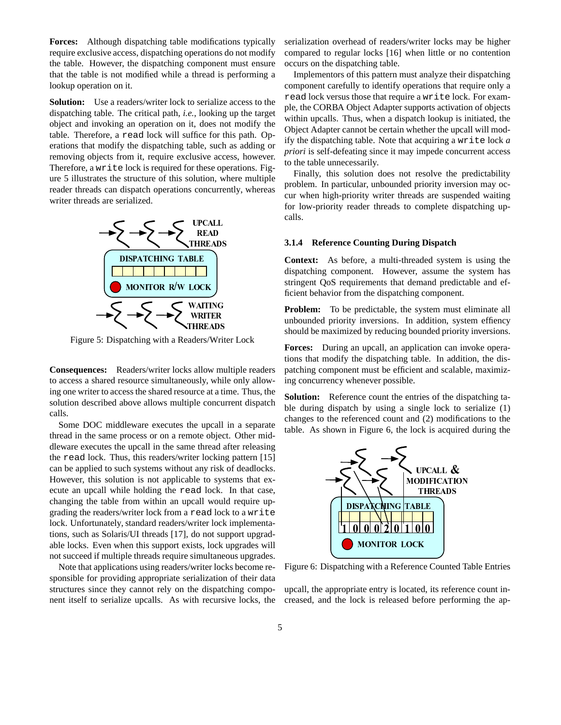**Forces:** Although dispatching table modifications typically require exclusive access, dispatching operations do not modify the table. However, the dispatching component must ensure that the table is not modified while a thread is performing a lookup operation on it.

**Solution:** Use a readers/writer lock to serialize access to the dispatching table. The critical path, *i.e.*, looking up the target object and invoking an operation on it, does not modify the table. Therefore, a read lock will suffice for this path. Operations that modify the dispatching table, such as adding or removing objects from it, require exclusive access, however. Therefore, a write lock is required for these operations. Figure 5 illustrates the structure of this solution, where multiple reader threads can dispatch operations concurrently, whereas writer threads are serialized.



Figure 5: Dispatching with a Readers/Writer Lock

**Consequences:** Readers/writer locks allow multiple readers to access a shared resource simultaneously, while only allowing one writer to access the shared resource at a time. Thus, the solution described above allows multiple concurrent dispatch calls.

Some DOC middleware executes the upcall in a separate thread in the same process or on a remote object. Other middleware executes the upcall in the same thread after releasing the read lock. Thus, this readers/writer locking pattern [15] can be applied to such systems without any risk of deadlocks. However, this solution is not applicable to systems that execute an upcall while holding the read lock. In that case, changing the table from within an upcall would require upgrading the readers/writer lock from a read lock to a write lock. Unfortunately, standard readers/writer lock implementations, such as Solaris/UI threads [17], do not support upgradable locks. Even when this support exists, lock upgrades will not succeed if multiple threads require simultaneous upgrades.

Note that applications using readers/writer locks become responsible for providing appropriate serialization of their data structures since they cannot rely on the dispatching component itself to serialize upcalls. As with recursive locks, the serialization overhead of readers/writer locks may be higher compared to regular locks [16] when little or no contention occurs on the dispatching table.

Implementors of this pattern must analyze their dispatching component carefully to identify operations that require only a read lock versus those that require a write lock. For example, the CORBA Object Adapter supports activation of objects within upcalls. Thus, when a dispatch lookup is initiated, the Object Adapter cannot be certain whether the upcall will modify the dispatching table. Note that acquiring a write lock *a priori* is self-defeating since it may impede concurrent access to the table unnecessarily.

Finally, this solution does not resolve the predictability problem. In particular, unbounded priority inversion may occur when high-priority writer threads are suspended waiting for low-priority reader threads to complete dispatching upcalls.

#### **3.1.4 Reference Counting During Dispatch**

**Context:** As before, a multi-threaded system is using the dispatching component. However, assume the system has stringent QoS requirements that demand predictable and efficient behavior from the dispatching component.

**Problem:** To be predictable, the system must eliminate all unbounded priority inversions. In addition, system effiency should be maximized by reducing bounded priority inversions.

**Forces:** During an upcall, an application can invoke operations that modify the dispatching table. In addition, the dispatching component must be efficient and scalable, maximizing concurrency whenever possible.

**Solution:** Reference count the entries of the dispatching table during dispatch by using a single lock to serialize (1) changes to the referenced count and (2) modifications to the table. As shown in Figure 6, the lock is acquired during the



Figure 6: Dispatching with a Reference Counted Table Entries

upcall, the appropriate entry is located, its reference count increased, and the lock is released before performing the ap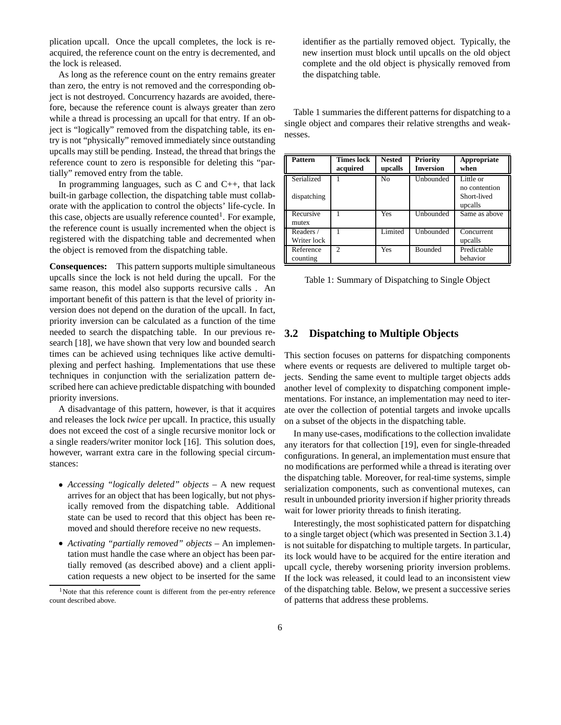plication upcall. Once the upcall completes, the lock is reacquired, the reference count on the entry is decremented, and the lock is released.

As long as the reference count on the entry remains greater than zero, the entry is not removed and the corresponding object is not destroyed. Concurrency hazards are avoided, therefore, because the reference count is always greater than zero while a thread is processing an upcall for that entry. If an object is "logically" removed from the dispatching table, its entry is not "physically" removed immediately since outstanding upcalls may still be pending. Instead, the thread that brings the reference count to zero is responsible for deleting this "partially" removed entry from the table.

In programming languages, such as C and C++, that lack built-in garbage collection, the dispatching table must collaborate with the application to control the objects' life-cycle. In this case, objects are usually reference counted<sup>1</sup>. For example, the reference count is usually incremented when the object is registered with the dispatching table and decremented when the object is removed from the dispatching table.

**Consequences:** This pattern supports multiple simultaneous upcalls since the lock is not held during the upcall. For the same reason, this model also supports recursive calls . An important benefit of this pattern is that the level of priority inversion does not depend on the duration of the upcall. In fact, priority inversion can be calculated as a function of the time needed to search the dispatching table. In our previous research [18], we have shown that very low and bounded search times can be achieved using techniques like active demultiplexing and perfect hashing. Implementations that use these techniques in conjunction with the serialization pattern described here can achieve predictable dispatching with bounded priority inversions.

A disadvantage of this pattern, however, is that it acquires and releases the lock *twice* per upcall. In practice, this usually does not exceed the cost of a single recursive monitor lock or a single readers/writer monitor lock [16]. This solution does, however, warrant extra care in the following special circumstances:

- e *Accessing "logically deleted" objects* A new request arrives for an object that has been logically, but not physically removed from the dispatching table. Additional state can be used to record that this object has been removed and should therefore receive no new requests.
- e *Activating "partially removed" objects* An implementation must handle the case where an object has been partially removed (as described above) and a client application requests a new object to be inserted for the same

identifier as the partially removed object. Typically, the new insertion must block until upcalls on the old object complete and the old object is physically removed from the dispatching table.

Table 1 summaries the different patterns for dispatching to a single object and compares their relative strengths and weaknesses.

| <b>Pattern</b>            | <b>Times lock</b><br>acquired | <b>Nested</b><br>upcalls | <b>Priority</b><br><b>Inversion</b> | Appropriate<br>when                                  |
|---------------------------|-------------------------------|--------------------------|-------------------------------------|------------------------------------------------------|
| Serialized<br>dispatching |                               | N <sub>0</sub>           | Unbounded                           | Little or<br>no contention<br>Short-lived<br>upcalls |
| Recursive<br>mutex        |                               | Yes                      | Unbounded                           | Same as above                                        |
| Readers /<br>Writer lock  |                               | Limited                  | Unbounded                           | Concurrent<br>upcalls                                |
| Reference<br>counting     | 2                             | Yes                      | <b>Bounded</b>                      | Predictable<br>behavior                              |

Table 1: Summary of Dispatching to Single Object

### **3.2 Dispatching to Multiple Objects**

This section focuses on patterns for dispatching components where events or requests are delivered to multiple target objects. Sending the same event to multiple target objects adds another level of complexity to dispatching component implementations. For instance, an implementation may need to iterate over the collection of potential targets and invoke upcalls on a subset of the objects in the dispatching table.

In many use-cases, modifications to the collection invalidate any iterators for that collection [19], even for single-threaded configurations. In general, an implementation must ensure that no modifications are performed while a thread is iterating over the dispatching table. Moreover, for real-time systems, simple serialization components, such as conventional mutexes, can result in unbounded priority inversion if higher priority threads wait for lower priority threads to finish iterating.

Interestingly, the most sophisticated pattern for dispatching to a single target object (which was presented in Section 3.1.4) is not suitable for dispatching to multiple targets. In particular, its lock would have to be acquired for the entire iteration and upcall cycle, thereby worsening priority inversion problems. If the lock was released, it could lead to an inconsistent view of the dispatching table. Below, we present a successive series of patterns that address these problems.

<sup>&</sup>lt;sup>1</sup>Note that this reference count is different from the per-entry reference count described above.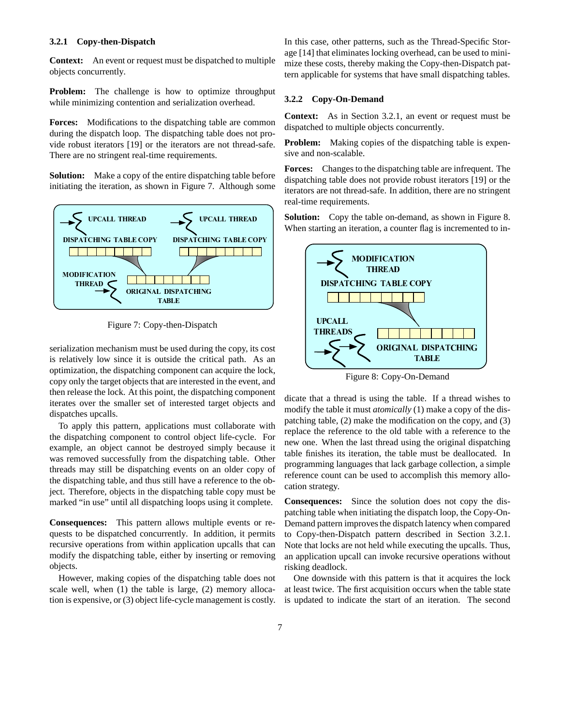#### **3.2.1 Copy-then-Dispatch**

**Context:** An event or request must be dispatched to multiple objects concurrently.

**Problem:** The challenge is how to optimize throughput while minimizing contention and serialization overhead.

**Forces:** Modifications to the dispatching table are common during the dispatch loop. The dispatching table does not provide robust iterators [19] or the iterators are not thread-safe. There are no stringent real-time requirements.

**Solution:** Make a copy of the entire dispatching table before initiating the iteration, as shown in Figure 7. Although some



Figure 7: Copy-then-Dispatch

serialization mechanism must be used during the copy, its cost is relatively low since it is outside the critical path. As an optimization, the dispatching component can acquire the lock, copy only the target objects that are interested in the event, and then release the lock. At this point, the dispatching component iterates over the smaller set of interested target objects and dispatches upcalls.

To apply this pattern, applications must collaborate with the dispatching component to control object life-cycle. For example, an object cannot be destroyed simply because it was removed successfully from the dispatching table. Other threads may still be dispatching events on an older copy of the dispatching table, and thus still have a reference to the object. Therefore, objects in the dispatching table copy must be marked "in use" until all dispatching loops using it complete.

**Consequences:** This pattern allows multiple events or requests to be dispatched concurrently. In addition, it permits recursive operations from within application upcalls that can modify the dispatching table, either by inserting or removing objects.

However, making copies of the dispatching table does not scale well, when (1) the table is large, (2) memory allocation is expensive, or (3) object life-cycle management is costly. In this case, other patterns, such as the Thread-Specific Storage [14] that eliminates locking overhead, can be used to minimize these costs, thereby making the Copy-then-Dispatch pattern applicable for systems that have small dispatching tables.

#### **3.2.2 Copy-On-Demand**

**Context:** As in Section 3.2.1, an event or request must be dispatched to multiple objects concurrently.

**Problem:** Making copies of the dispatching table is expensive and non-scalable.

**Forces:** Changes to the dispatching table are infrequent. The dispatching table does not provide robust iterators [19] or the iterators are not thread-safe. In addition, there are no stringent real-time requirements.

**Solution:** Copy the table on-demand, as shown in Figure 8. When starting an iteration, a counter flag is incremented to in-



Figure 8: Copy-On-Demand

dicate that a thread is using the table. If a thread wishes to modify the table it must *atomically* (1) make a copy of the dispatching table, (2) make the modification on the copy, and (3) replace the reference to the old table with a reference to the new one. When the last thread using the original dispatching table finishes its iteration, the table must be deallocated. In programming languages that lack garbage collection, a simple reference count can be used to accomplish this memory allocation strategy.

**Consequences:** Since the solution does not copy the dispatching table when initiating the dispatch loop, the Copy-On-Demand pattern improves the dispatch latency when compared to Copy-then-Dispatch pattern described in Section 3.2.1. Note that locks are not held while executing the upcalls. Thus, an application upcall can invoke recursive operations without risking deadlock.

One downside with this pattern is that it acquires the lock at least twice. The first acquisition occurs when the table state is updated to indicate the start of an iteration. The second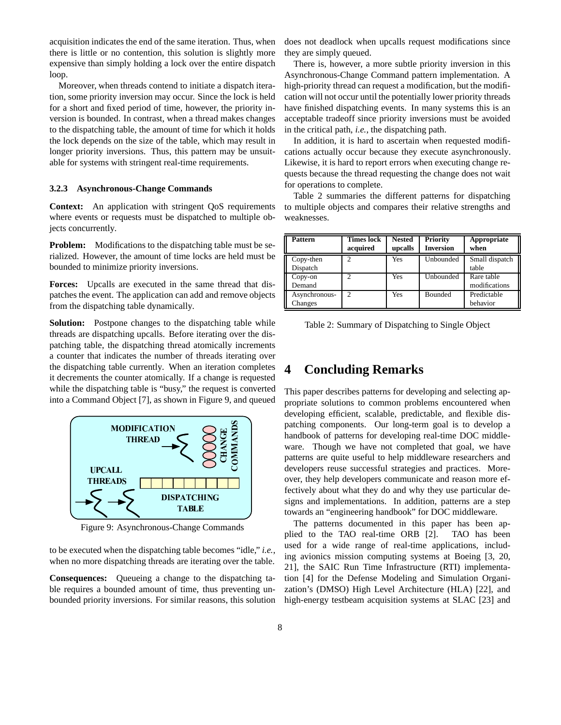acquisition indicates the end of the same iteration. Thus, when there is little or no contention, this solution is slightly more expensive than simply holding a lock over the entire dispatch loop.

Moreover, when threads contend to initiate a dispatch iteration, some priority inversion may occur. Since the lock is held for a short and fixed period of time, however, the priority inversion is bounded. In contrast, when a thread makes changes to the dispatching table, the amount of time for which it holds the lock depends on the size of the table, which may result in longer priority inversions. Thus, this pattern may be unsuitable for systems with stringent real-time requirements.

#### **3.2.3 Asynchronous-Change Commands**

**Context:** An application with stringent QoS requirements where events or requests must be dispatched to multiple objects concurrently.

**Problem:** Modifications to the dispatching table must be serialized. However, the amount of time locks are held must be bounded to minimize priority inversions.

**Forces:** Upcalls are executed in the same thread that dispatches the event. The application can add and remove objects from the dispatching table dynamically.

**Solution:** Postpone changes to the dispatching table while threads are dispatching upcalls. Before iterating over the dispatching table, the dispatching thread atomically increments a counter that indicates the number of threads iterating over the dispatching table currently. When an iteration completes it decrements the counter atomically. If a change is requested while the dispatching table is "busy," the request is converted into a Command Object [7], as shown in Figure 9, and queued



Figure 9: Asynchronous-Change Commands

to be executed when the dispatching table becomes "idle," *i.e.*, when no more dispatching threads are iterating over the table.

**Consequences:** Queueing a change to the dispatching table requires a bounded amount of time, thus preventing unbounded priority inversions. For similar reasons, this solution does not deadlock when upcalls request modifications since they are simply queued.

There is, however, a more subtle priority inversion in this Asynchronous-Change Command pattern implementation. A high-priority thread can request a modification, but the modification will not occur until the potentially lower priority threads have finished dispatching events. In many systems this is an acceptable tradeoff since priority inversions must be avoided in the critical path, *i.e.*, the dispatching path.

In addition, it is hard to ascertain when requested modifications actually occur because they execute asynchronously. Likewise, it is hard to report errors when executing change requests because the thread requesting the change does not wait for operations to complete.

Table 2 summaries the different patterns for dispatching to multiple objects and compares their relative strengths and weaknesses.

| Pattern       | <b>Times lock</b> | <b>Nested</b> | <b>Priority</b>  | Appropriate    |
|---------------|-------------------|---------------|------------------|----------------|
|               | acquired          | upcalls       | <b>Inversion</b> | when           |
| Copy-then     | ↑                 | Yes           | Unbounded        | Small dispatch |
| Dispatch      |                   |               |                  | table          |
| Copy-on       |                   | Yes           | Unbounded        | Rare table     |
| Demand        |                   |               |                  | modifications  |
| Asynchronous- | $\mathcal{D}$     | Yes           | <b>Bounded</b>   | Predictable    |
| Changes       |                   |               |                  | behavior       |

| Table 2: Summary of Dispatching to Single Object |  |  |  |
|--------------------------------------------------|--|--|--|
|                                                  |  |  |  |

### **4 Concluding Remarks**

 $\ddot{\circ}$  developers reuse successful strategies and practices. More- $\geq$  | ware. Though we have not completed that goal, we have **E** and book of patterns for developing real-time DOC middle- $\sum_{n=1}^{\infty}$  atching components. Our long-term goal is to develop a This paper describes patterns for developing and selecting appropriate solutions to common problems encountered when developing efficient, scalable, predictable, and flexible dispatterns are quite useful to help middleware researchers and over, they help developers communicate and reason more effectively about what they do and why they use particular designs and implementations. In addition, patterns are a step towards an "engineering handbook" for DOC middleware.

> The patterns documented in this paper has been applied to the TAO real-time ORB [2]. TAO has been used for a wide range of real-time applications, including avionics mission computing systems at Boeing [3, 20, 21], the SAIC Run Time Infrastructure (RTI) implementation [4] for the Defense Modeling and Simulation Organization's (DMSO) High Level Architecture (HLA) [22], and high-energy testbeam acquisition systems at SLAC [23] and